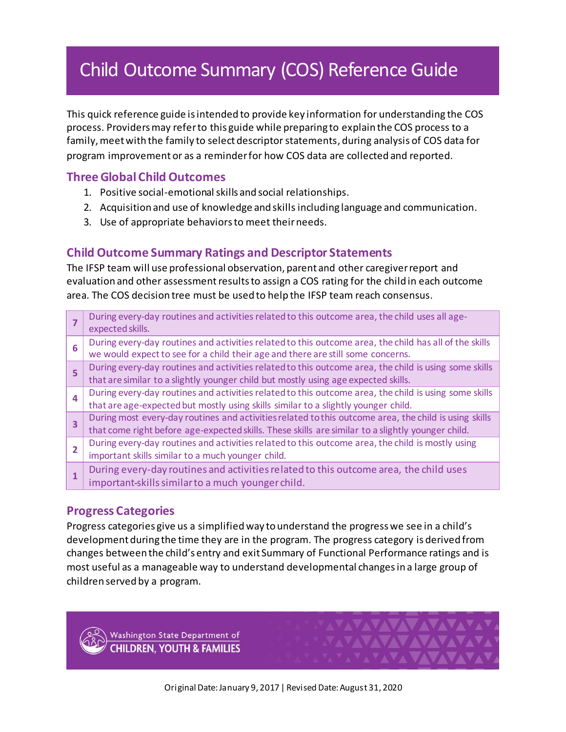# Child Outcome Summary (COS) Reference Guide

This quick reference guide is intended to provide key information for understanding the COS process. Providers may refer to this guide while preparing to explain the COS process to a family, meet with the family to select descriptor statements, during analysis of COS data for program improvement or as a reminder for how COS data are collected and reported.

# **Three Global Child Outcomes**

- 1. Positive social-emotional skills and social relationships.
- 2. Acquisition and use of knowledge and skills including language and communication.
- 3. Use of appropriate behaviorsto meet theirneeds.

## **Child Outcome Summary Ratings and Descriptor Statements**

The IFSP team will use professional observation, parent and other caregiver report and evaluation and other assessment results to assign a COS rating for the child in each outcome area. The COS decision tree must be used to help the IFSP team reach consensus.

|                         | During every-day routines and activities related to this outcome area, the child uses all age-<br>expected skills.                                                                                         |
|-------------------------|------------------------------------------------------------------------------------------------------------------------------------------------------------------------------------------------------------|
| 6                       | During every-day routines and activities related to this outcome area, the child has all of the skills<br>we would expect to see for a child their age and there are still some concerns.                  |
| 5                       | During every-day routines and activities related to this outcome area, the child is using some skills<br>that are similar to a slightly younger child but mostly using age expected skills.                |
| $\overline{\mathbf{A}}$ | During every-day routines and activities related to this outcome area, the child is using some skills<br>that are age-expected but mostly using skills similar to a slightly younger child.                |
| 3                       | During most every-day routines and activities related to this outcome area, the child is using skills<br>that come right before age-expected skills. These skills are similar to a slightly younger child. |
| $\overline{2}$          | During every-day routines and activities related to this outcome area, the child is mostly using<br>important skills similar to a much younger child.                                                      |
| 1                       | During every-day routines and activities related to this outcome area, the child uses<br>important-skills similar to a much younger child.                                                                 |

### **Progress Categories**

Progress categories give us a simplified way to understand the progress we see in a child's development during the time they are in the program. The progress category is derived from changes between the child's entry and exit Summary of Functional Performance ratings and is most useful as a manageable way to understand developmental changes in a large group of children served by a program.

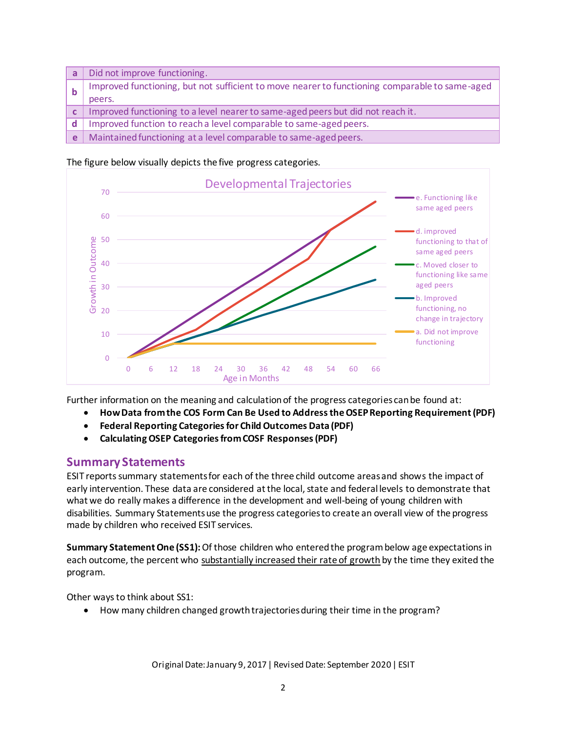| a  | Did not improve functioning.                                                                   |
|----|------------------------------------------------------------------------------------------------|
|    | Improved functioning, but not sufficient to move nearer to functioning comparable to same-aged |
|    | peers.                                                                                         |
|    | c   Improved functioning to a level nearer to same-aged peers but did not reach it.            |
| d. | Improved function to reach a level comparable to same-aged peers.                              |
| e  | Maintained functioning at a level comparable to same-aged peers.                               |

#### The figure below visually depicts the five progress categories.



Further information on the meaning and calculation of the progress categories can be found at:

- **[How Data from the COS Form Can Be Used to Address the OSEP Reporting Requirement \(PDF\)](http://ectacenter.org/eco/assets/pdfs/COSF_to_OSEP_requirements.pdf)**
- **[Federal Reporting Categories for Child Outcomes Data \(PDF\)](http://ectacenter.org/eco/assets/pdfs/Federal_Reporting_Categories.pdf)**
- **[Calculating OSEP Categories from COSF Responses \(PDF\)](http://ectacenter.org/eco/assets/pdfs/Summary_of_Rules_COSF_to_OSEP_8-9-07.pdf)**

#### **Summary Statements**

ESIT reports summary statements for each of the three child outcome areas and shows the impact of early intervention. These data are considered at the local, state and federal levels to demonstrate that what we do really makes a difference in the development and well-being of young children with disabilities. Summary Statements use the progress categories to create an overall view of the progress made by children who received ESIT services.

**Summary Statement One (SS1):**Of those children who entered the program below age expectations in each outcome, the percent who substantially increased their rate of growth by the time they exited the program.

Other ways to think about SS1:

How many children changed growth trajectories during their time in the program?